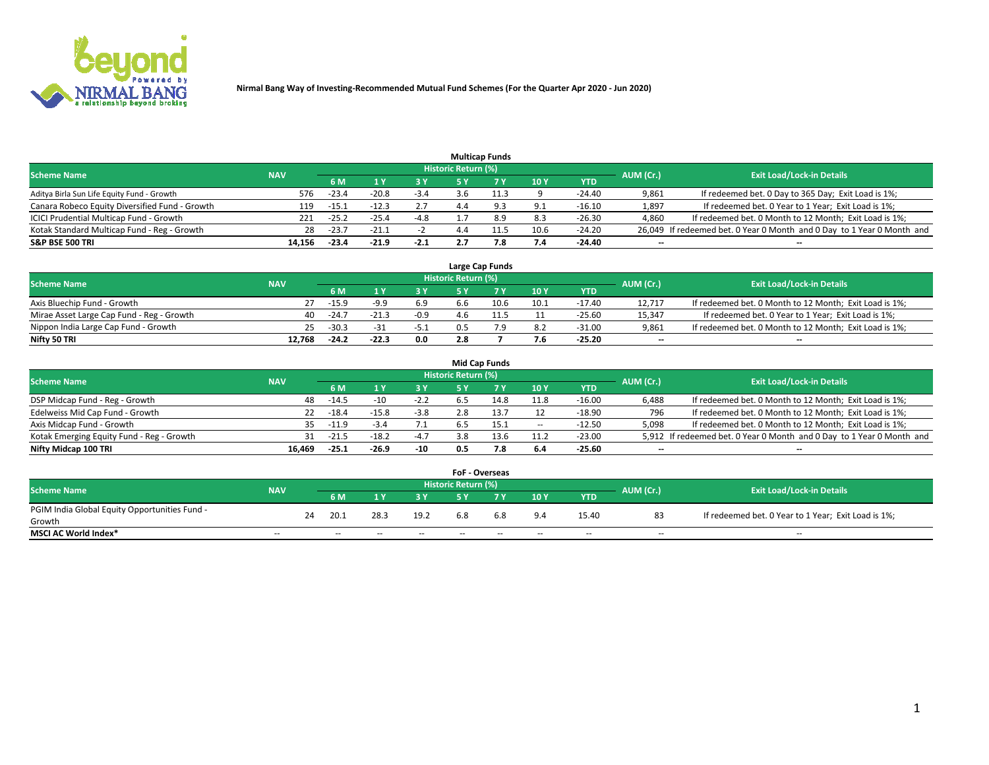

|                                                |            |         |         |        |                     | <b>Multicap Funds</b> |      |          |           |                                                                        |
|------------------------------------------------|------------|---------|---------|--------|---------------------|-----------------------|------|----------|-----------|------------------------------------------------------------------------|
| <b>Scheme Name</b>                             | <b>NAV</b> |         |         |        | Historic Return (%) |                       |      |          | AUM (Cr.) | <b>Exit Load/Lock-in Details</b>                                       |
|                                                |            | 6 M     |         |        |                     |                       | 10Y  | YTD      |           |                                                                        |
| Aditya Birla Sun Life Equity Fund - Growth     | 576        | $-23.4$ | $-20.8$ | $-3.4$ | ≺.h                 |                       |      | $-24.40$ | 9,861     | If redeemed bet. 0 Day to 365 Day; Exit Load is 1%;                    |
| Canara Robeco Equity Diversified Fund - Growth | 119        | $-15.1$ |         | 2.7    |                     |                       | 9.1  | $-16.10$ | 1,897     | If redeemed bet. 0 Year to 1 Year; Exit Load is 1%;                    |
| ICICI Prudential Multicap Fund - Growth        | 221        | $-25.7$ | $-25.4$ | $-4.8$ |                     |                       | 8.3  | $-26.30$ | 4,860     | If redeemed bet. 0 Month to 12 Month; Exit Load is 1%;                 |
| Kotak Standard Multicap Fund - Reg - Growth    | 28         | $-23.7$ | $-21.1$ |        |                     |                       | 10.6 | $-24.20$ |           | 26,049 If redeemed bet. 0 Year 0 Month and 0 Day to 1 Year 0 Month and |
| <b>S&amp;P BSE 500 TRI</b>                     | 14.156     | $-23.4$ | $-21.9$ | $-2.1$ |                     | 7.8                   | 7.4  | -24.40   | $- -$     | $\overline{\phantom{a}}$                                               |

|                                           |            |         |         |        |                     | Large Cap Funds |      |          |                          |                                                        |
|-------------------------------------------|------------|---------|---------|--------|---------------------|-----------------|------|----------|--------------------------|--------------------------------------------------------|
| <b>Scheme Name</b>                        | <b>NAV</b> |         |         |        | Historic Return (%) |                 |      |          | AUM (Cr.)                | <b>Exit Load/Lock-in Details</b>                       |
|                                           |            | 6 M     |         | 3 Y    |                     |                 | 10Y  | YTD      |                          |                                                        |
| Axis Bluechip Fund - Growth               | 27         | $-15.9$ | $-9.9$  | 6.9    |                     | 10.6            | 10.1 | $-17.40$ | 12.717                   | If redeemed bet. 0 Month to 12 Month; Exit Load is 1%; |
| Mirae Asset Large Cap Fund - Reg - Growth | 40         | $-24.7$ | $-21.3$ | $-0.9$ |                     |                 |      | $-25.60$ | 15,347                   | If redeemed bet. 0 Year to 1 Year; Exit Load is 1%;    |
| Nippon India Large Cap Fund - Growth      | 25         | $-30.3$ |         | $-5.1$ |                     |                 | 8.2  | $-31.00$ | 9.861                    | If redeemed bet. 0 Month to 12 Month; Exit Load is 1%; |
| Nifty 50 TRI                              | 12.768     | -24.2   | $-22.3$ | 0.0    | 2.8                 |                 | 7.6  | $-25.20$ | $\overline{\phantom{a}}$ | $\overline{\phantom{a}}$                               |

|                                           |            |         |         |        |                     | <b>Mid Cap Funds</b> |                          |            |           |                                                                       |
|-------------------------------------------|------------|---------|---------|--------|---------------------|----------------------|--------------------------|------------|-----------|-----------------------------------------------------------------------|
| <b>Scheme Name</b>                        | <b>NAV</b> |         |         |        | Historic Return (%) |                      |                          |            | AUM (Cr.) | <b>Exit Load/Lock-in Details</b>                                      |
|                                           |            | 6 M     |         | 3 Y    |                     |                      | 10Y                      | <b>YTD</b> |           |                                                                       |
| DSP Midcap Fund - Reg - Growth            | 48         | $-14.5$ |         | $-2.2$ | .6.5                | 14.8                 | 11.8                     | $-16.00$   | 6,488     | If redeemed bet. 0 Month to 12 Month; Exit Load is 1%;                |
| Edelweiss Mid Cap Fund - Growth           | 22.        | $-18.4$ | $-15.8$ | $-3.8$ |                     |                      |                          | $-18.90$   | 796       | If redeemed bet. 0 Month to 12 Month; Exit Load is 1%;                |
| Axis Midcap Fund - Growth                 | 35.        | $-11.9$ | $-3.4$  | 7.1    | b.5                 | 15.1                 | $\overline{\phantom{a}}$ | $-12.50$   | 5,098     | If redeemed bet. 0 Month to 12 Month; Exit Load is 1%;                |
| Kotak Emerging Equity Fund - Reg - Growth | 31         | $-21.5$ | $-18.2$ | $-4.7$ | 3.8                 | 13.6                 | 11.2                     | $-23.00$   |           | 5,912 If redeemed bet. 0 Year 0 Month and 0 Day to 1 Year 0 Month and |
| Nifty Midcap 100 TRI                      | 16.469     | $-25.1$ | -26.9   | $-10$  | 0.5                 | 7.8                  | 6.4                      | $-25.60$   | --        | $\overline{\phantom{a}}$                                              |

|                                               |               |    |        |        |      | <b>FoF - Overseas</b> |     |     |            |           |                                                     |
|-----------------------------------------------|---------------|----|--------|--------|------|-----------------------|-----|-----|------------|-----------|-----------------------------------------------------|
| <b>Scheme Name</b>                            | <b>NAV</b>    |    |        |        |      | Historic Return (%)   |     |     |            | AUM (Cr.) | <b>Exit Load/Lock-in Details</b>                    |
|                                               |               |    | 6 M    |        | 2 V  |                       | 7 V | 10V | <b>YTD</b> |           |                                                     |
| PGIM India Global Equity Opportunities Fund - |               | 24 | 20.1   | 28.3   | 19.2 | 6.8                   | 6.8 | 9.4 | 15.40      | 83        | If redeemed bet. 0 Year to 1 Year; Exit Load is 1%; |
| Growth                                        |               |    |        |        |      |                       |     |     |            |           |                                                     |
| <b>MSCI AC World Index*</b>                   | $\sim$ $\sim$ |    | $\sim$ | $\sim$ | $-$  | $\sim$                | --  | $-$ | $-$        | $-$       | $-$                                                 |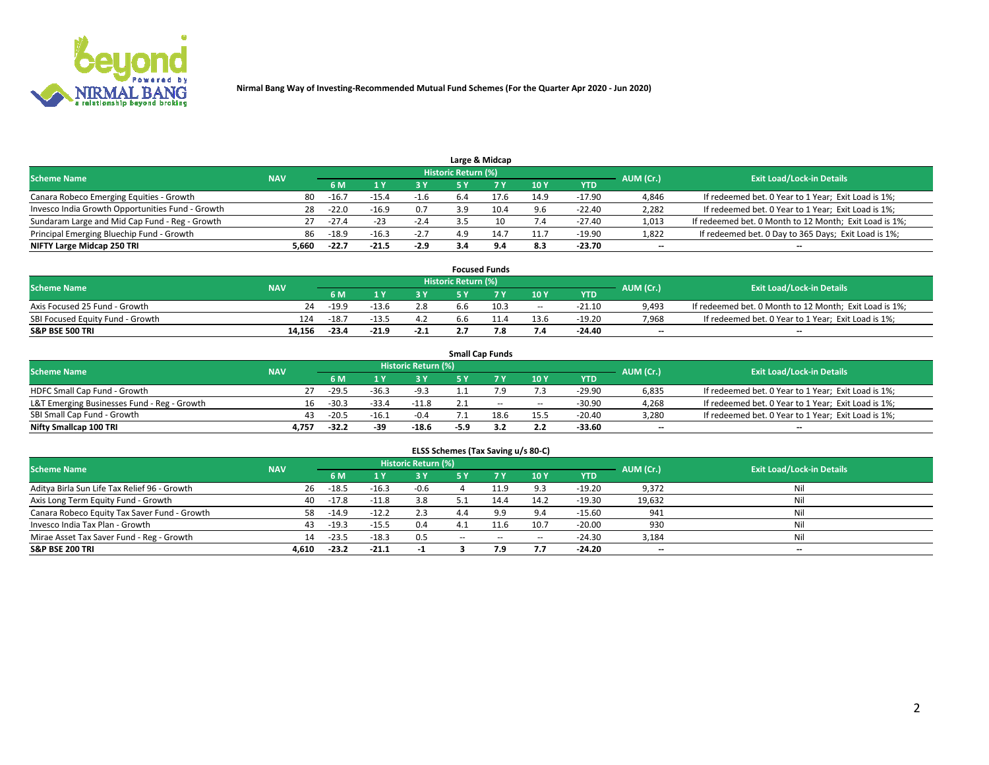

|                                                  |            |               |         |        |                     | Large & Midcap |      |            |           |                                                        |
|--------------------------------------------------|------------|---------------|---------|--------|---------------------|----------------|------|------------|-----------|--------------------------------------------------------|
| <b>Scheme Name</b>                               | <b>NAV</b> |               |         |        | Historic Return (%) |                |      |            | AUM (Cr.) | <b>Exit Load/Lock-in Details</b>                       |
|                                                  |            | 6 M           |         | ra v   |                     |                | 10Y  | <b>YTD</b> |           |                                                        |
| Canara Robeco Emerging Equities - Growth         |            | $-16.7$<br>80 | -15.4   | -1.6   | 6.4                 |                | 14.9 | $-17.90$   | 4,846     | If redeemed bet. 0 Year to 1 Year; Exit Load is 1%;    |
| Invesco India Growth Opportunities Fund - Growth |            | 28<br>$-22.0$ | $-16.9$ | 0.7    | ιa                  | 10.4           | 9.6  | $-22.40$   | 2,282     | If redeemed bet. 0 Year to 1 Year; Exit Load is 1%;    |
| Sundaram Large and Mid Cap Fund - Reg - Growth   |            | $-27.4$       | $-23$   | $-2.4$ |                     |                | 7.4  | $-27.40$   | 1,013     | If redeemed bet. 0 Month to 12 Month; Exit Load is 1%; |
| Principal Emerging Bluechip Fund - Growth        |            | 86<br>$-18.9$ | $-16.3$ | $-2.7$ | 4.9                 | 14.7           | 11.7 | $-19.90$   | 1,822     | If redeemed bet. 0 Day to 365 Days; Exit Load is 1%;   |
| NIFTY Large Midcap 250 TRI                       | 5,660      | $-22.7$       | $-21.5$ | $-2.9$ |                     |                | 8.3  | $-23.70$   | $- -$     | $-$                                                    |

|                                  |            |         |         |        |                     | <b>Focused Funds</b> |        |          |                          |                                                        |
|----------------------------------|------------|---------|---------|--------|---------------------|----------------------|--------|----------|--------------------------|--------------------------------------------------------|
| <b>Scheme Name</b>               | <b>NAV</b> |         |         |        | Historic Return (%) |                      |        |          | AUM (Cr.)                | <b>Exit Load/Lock-in Details</b>                       |
|                                  |            | 6 M     |         |        |                     |                      | 10Y    | YTD      |                          |                                                        |
| Axis Focused 25 Fund - Growth    | 24         | $-19.9$ | -13.6   | 2.8    |                     | 10.3                 | $\sim$ | $-21.10$ | 9,493                    | If redeemed bet. 0 Month to 12 Month; Exit Load is 1%; |
| SBI Focused Equity Fund - Growth | 124        | $-18.7$ | -13.5   | 4.2    |                     |                      | 13.6   | $-19.20$ | 7,968                    | If redeemed bet. 0 Year to 1 Year; Exit Load is 1%;    |
| <b>S&amp;P BSE 500 TRI</b>       | 14.156     | $-23.4$ | $-21.9$ | $-2.1$ |                     |                      | 7.4    | $-24.40$ | $\overline{\phantom{a}}$ | $\overline{\phantom{a}}$                               |

|                                             |            |         |         |                     |      | <b>Small Cap Funds</b> |      |            |           |                                                     |
|---------------------------------------------|------------|---------|---------|---------------------|------|------------------------|------|------------|-----------|-----------------------------------------------------|
| <b>Scheme Name</b>                          | <b>NAV</b> |         |         | Historic Return (%) |      |                        |      |            | AUM (Cr.) | <b>Exit Load/Lock-in Details</b>                    |
|                                             |            | 6 M     |         | 3 Y                 |      |                        | 10Y  | <b>YTD</b> |           |                                                     |
| HDFC Small Cap Fund - Growth                | 27.        | $-29.5$ | $-36.3$ | $-9.3$              |      |                        | 7.3  | $-29.90$   | 6,835     | If redeemed bet. 0 Year to 1 Year; Exit Load is 1%; |
| L&T Emerging Businesses Fund - Reg - Growth | 16.        | $-30.3$ | $-33.4$ | $-11.8$             |      | $\sim$                 | $-$  | $-30.90$   | 4,268     | If redeemed bet. 0 Year to 1 Year; Exit Load is 1%; |
| SBI Small Cap Fund - Growth                 | 43         | $-20.5$ | $-16.1$ | $-0.4$              |      | 18.6                   | 15.5 | $-20.40$   | 3,280     | If redeemed bet. 0 Year to 1 Year; Exit Load is 1%; |
| Nifty Smallcap 100 TRI                      | 4.757      | $-32.2$ | -39     | $-18.6$             | -5.9 |                        | 2.2  | -33.60     | $- -$     | $\overline{\phantom{a}}$                            |

| ELSS Schemes (Tax Saving u/s 80-C)           |                                                                             |         |         |        |           |           |        |            |        |                                  |  |  |  |  |
|----------------------------------------------|-----------------------------------------------------------------------------|---------|---------|--------|-----------|-----------|--------|------------|--------|----------------------------------|--|--|--|--|
|                                              | <b>Historic Return (%)</b><br><b>Scheme Name</b><br>AUM (Cr.)<br><b>NAV</b> |         |         |        |           |           |        |            |        |                                  |  |  |  |  |
|                                              |                                                                             | 6 M     | 1 Y.    | 3 Y    | <b>5Y</b> | <b>7Y</b> | 10Y    | <b>YTD</b> |        | <b>Exit Load/Lock-in Details</b> |  |  |  |  |
| Aditya Birla Sun Life Tax Relief 96 - Growth | 26                                                                          | $-18.5$ | $-16.3$ | $-0.6$ |           | 11.9      | 9.3    | $-19.20$   | 9,372  | Nil                              |  |  |  |  |
| Axis Long Term Equity Fund - Growth          | 40                                                                          | $-17.8$ | $-11.8$ | 3.8    |           | 14.4      | 14.2   | $-19.30$   | 19,632 | Nil                              |  |  |  |  |
| Canara Robeco Equity Tax Saver Fund - Growth | 58                                                                          | $-14.9$ | $-12.2$ | 2.3    |           | 9.9       | 9.4    | $-15.60$   | 941    | Nil                              |  |  |  |  |
| Invesco India Tax Plan - Growth              | 43                                                                          | $-19.3$ | $-15.5$ | 0.4    |           |           | 10.7   | $-20.00$   | 930    | Nil                              |  |  |  |  |
| Mirae Asset Tax Saver Fund - Reg - Growth    | 14                                                                          | $-23.5$ | $-18.3$ | 0.5    | $\sim$    | $\sim$    | $\sim$ | $-24.30$   | 3,184  | Nil                              |  |  |  |  |
| <b>S&amp;P BSE 200 TRI</b>                   | 4.610                                                                       | $-23.2$ | $-21.1$ |        |           | 7.9       | 7.7    | $-24.20$   | $- -$  | $\overline{\phantom{a}}$         |  |  |  |  |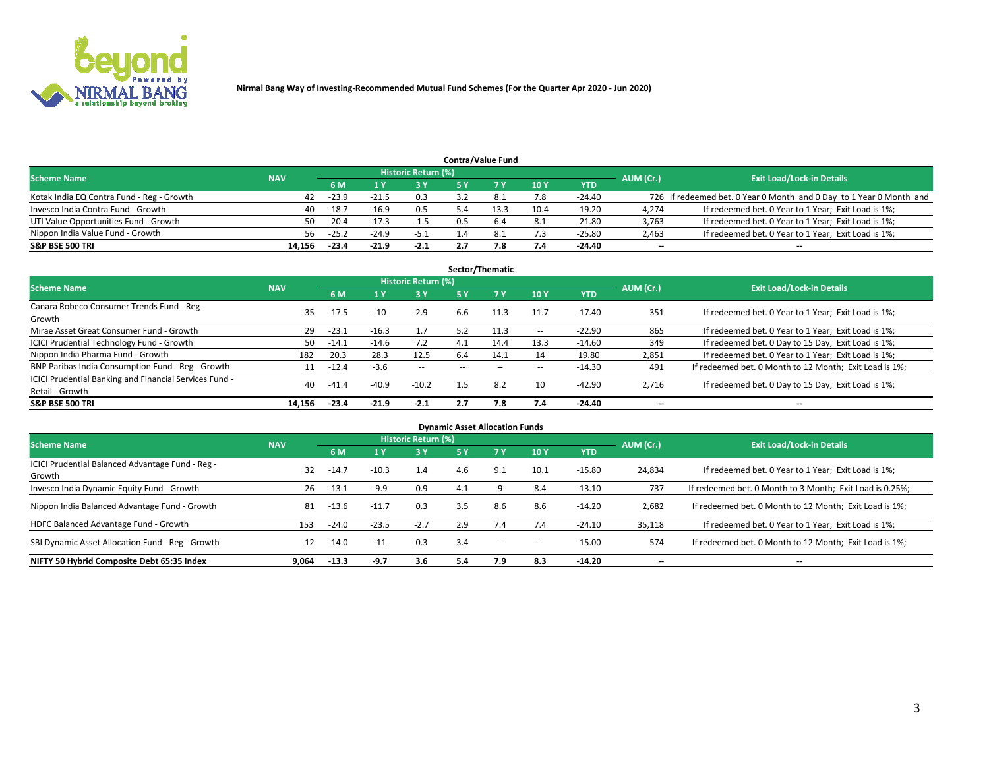

|                                           |            |         |         |                            |     | <b>Contra/Value Fund</b> |      |            |           |                                                                     |
|-------------------------------------------|------------|---------|---------|----------------------------|-----|--------------------------|------|------------|-----------|---------------------------------------------------------------------|
| <b>Scheme Name</b>                        | <b>NAV</b> |         |         | <b>Historic Return (%)</b> |     |                          |      |            | AUM (Cr.) | <b>Exit Load/Lock-in Details</b>                                    |
|                                           |            | 6 M     |         | 73 V                       |     |                          | 10Y  | <b>YTD</b> |           |                                                                     |
| Kotak India EQ Contra Fund - Reg - Growth | 42         | -23.9   |         | 0.3                        |     |                          | 7.8  | $-24.40$   |           | 726 If redeemed bet. 0 Year 0 Month and 0 Day to 1 Year 0 Month and |
| Invesco India Contra Fund - Growth        | 40         | $-18.7$ | $-16.9$ | 0.5                        |     | 13.3                     | 10.4 | $-19.20$   | 4,274     | If redeemed bet. 0 Year to 1 Year; Exit Load is 1%;                 |
| UTI Value Opportunities Fund - Growth     | 50.        | $-20.4$ |         | $-1.5$                     | 0.5 | 6.4                      | 8.1  | $-21.80$   | 3,763     | If redeemed bet. 0 Year to 1 Year; Exit Load is 1%;                 |
| Nippon India Value Fund - Growth          | 56.        | $-25.2$ | $-24.9$ | $-5.1$                     |     |                          | 7.3  | $-25.80$   | 2,463     | If redeemed bet. 0 Year to 1 Year; Exit Load is 1%;                 |
| <b>S&amp;P BSE 500 TRI</b>                | 14.156     | $-23.4$ | $-21.9$ | $-2.1$                     |     | '.8                      | 7.4  | $-24.40$   | $- -$     | $\overline{\phantom{a}}$                                            |

|                                                                           |            |         |         |                     |           | Sector/Thematic |        |          |           |                                                        |
|---------------------------------------------------------------------------|------------|---------|---------|---------------------|-----------|-----------------|--------|----------|-----------|--------------------------------------------------------|
| <b>Scheme Name</b>                                                        | <b>NAV</b> |         |         | Historic Return (%) |           |                 |        |          | AUM (Cr.) | <b>Exit Load/Lock-in Details</b>                       |
|                                                                           |            | 6 M     |         | 3 Y                 | <b>5Y</b> | 7 Y             | 10Y    | YTD      |           |                                                        |
| Canara Robeco Consumer Trends Fund - Reg -<br>Growth                      | 35         | $-17.5$ | $-10$   | 2.9                 | 6.6       | 11.3            | 11.7   | -17.40   | 351       | If redeemed bet. 0 Year to 1 Year; Exit Load is 1%;    |
| Mirae Asset Great Consumer Fund - Growth                                  | 29         | $-23.1$ | $-16.3$ | 1.7                 | 5.2       | 11.3            | $\sim$ | $-22.90$ | 865       | If redeemed bet. 0 Year to 1 Year; Exit Load is 1%;    |
| <b>ICICI Prudential Technology Fund - Growth</b>                          | 50         | $-14.1$ | $-14.6$ | 7.2                 | 4.1       | 14.4            | 13.3   | $-14.60$ | 349       | If redeemed bet. 0 Day to 15 Day; Exit Load is 1%;     |
| Nippon India Pharma Fund - Growth                                         | 182        | 20.3    | 28.3    | 12.5                | 6.4       | 14.1            | 14     | 19.80    | 2,851     | If redeemed bet. 0 Year to 1 Year; Exit Load is 1%;    |
| BNP Paribas India Consumption Fund - Reg - Growth                         | 11         | $-12.4$ | $-3.6$  | $\sim$              |           |                 | $\sim$ | $-14.30$ | 491       | If redeemed bet. 0 Month to 12 Month; Exit Load is 1%; |
| ICICI Prudential Banking and Financial Services Fund -<br>Retail - Growth | 40         | $-41.4$ | $-40.9$ | $-10.2$             | 1.5       | 8.2             | 10     | $-42.90$ | 2,716     | If redeemed bet. 0 Day to 15 Day; Exit Load is 1%;     |
| <b>S&amp;P BSE 500 TRI</b>                                                | 14.156     | $-23.4$ | $-21.9$ | $-2.1$              | 2.7       | 7.8             | 7.4    | -24.40   | $- -$     | --                                                     |

| <b>Dynamic Asset Allocation Funds</b>                      |            |         |         |                            |           |        |        |          |           |                                                          |  |  |  |
|------------------------------------------------------------|------------|---------|---------|----------------------------|-----------|--------|--------|----------|-----------|----------------------------------------------------------|--|--|--|
| Scheme Name                                                | <b>NAV</b> |         |         | <b>Historic Return (%)</b> |           |        |        |          | AUM (Cr.) | <b>Exit Load/Lock-in Details</b>                         |  |  |  |
|                                                            |            | 6 M     | l Y     | 3 Y                        | <b>5Y</b> |        | 10Y    | YTD      |           |                                                          |  |  |  |
| ICICI Prudential Balanced Advantage Fund - Reg -<br>Growth | 32         | $-14.7$ | $-10.3$ | 1.4                        | 4.6       | 9.1    | 10.1   | $-15.80$ | 24,834    | If redeemed bet. 0 Year to 1 Year; Exit Load is 1%;      |  |  |  |
| Invesco India Dynamic Equity Fund - Growth                 | 26         | $-13.1$ | $-9.9$  | 0.9                        | 4.1       |        | 8.4    | $-13.10$ | 737       | If redeemed bet. 0 Month to 3 Month; Exit Load is 0.25%; |  |  |  |
| Nippon India Balanced Advantage Fund - Growth              | 81         | $-13.6$ | $-11.7$ | 0.3                        | 3.5       | 8.6    | 8.6    | $-14.20$ | 2,682     | If redeemed bet. 0 Month to 12 Month; Exit Load is 1%;   |  |  |  |
| HDFC Balanced Advantage Fund - Growth                      | 153        | $-24.0$ | $-23.5$ | $-2.7$                     | 2.9       | 7.4    | 7.4    | $-24.10$ | 35,118    | If redeemed bet. 0 Year to 1 Year; Exit Load is 1%;      |  |  |  |
| SBI Dynamic Asset Allocation Fund - Reg - Growth           | 12         | $-14.0$ | $-11$   | 0.3                        | 3.4       | $\sim$ | $\sim$ | $-15.00$ | 574       | If redeemed bet. 0 Month to 12 Month; Exit Load is 1%;   |  |  |  |
| NIFTY 50 Hybrid Composite Debt 65:35 Index                 | 9.064      | $-13.3$ | -9.7    | 3.6                        | 5.4       | 7.9    | 8.3    | $-14.20$ | $- -$     | $\overline{\phantom{a}}$                                 |  |  |  |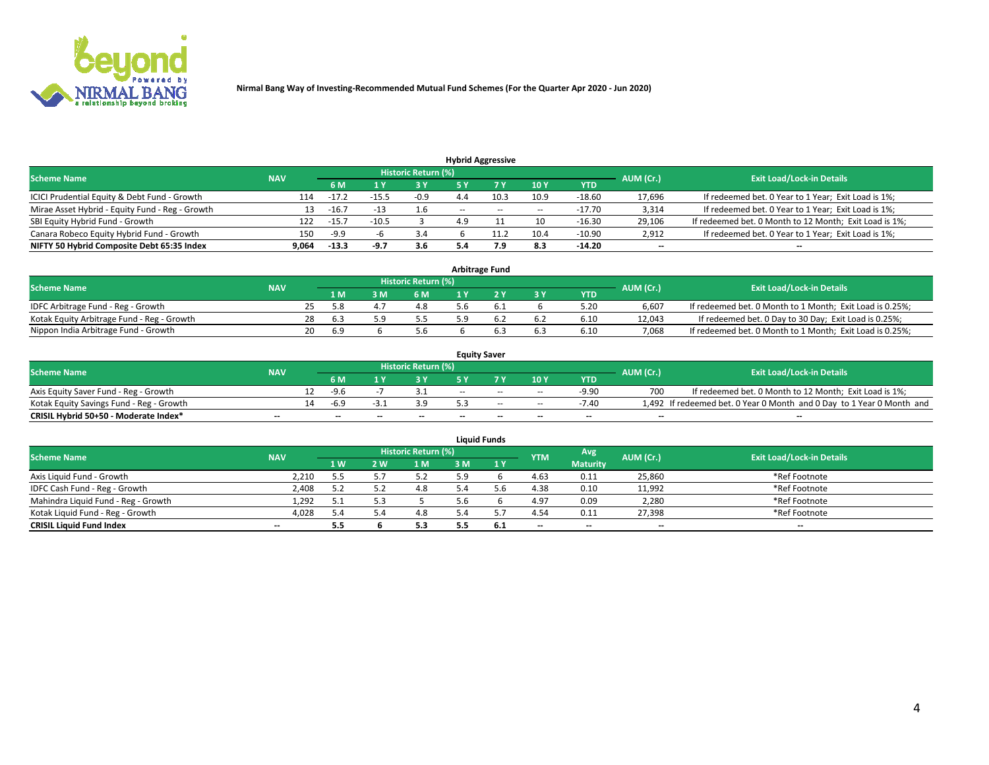

|                                                 |            |         |         |                     |                          | <b>Hybrid Aggressive</b> |       |          |           |                                                        |
|-------------------------------------------------|------------|---------|---------|---------------------|--------------------------|--------------------------|-------|----------|-----------|--------------------------------------------------------|
| <b>Scheme Name</b>                              | <b>NAV</b> |         |         | Historic Return (%) |                          |                          |       |          | AUM (Cr.) | <b>Exit Load/Lock-in Details</b>                       |
|                                                 |            | 6 M     |         | 3 Y                 |                          |                          | 10Y   | YTD      |           |                                                        |
| ICICI Prudential Equity & Debt Fund - Growth    | 114        | $-17$   |         | $-0.9$              |                          | 10.3                     | 10.9  | $-18.60$ | 17,696    | If redeemed bet. 0 Year to 1 Year; Exit Load is 1%;    |
| Mirae Asset Hybrid - Equity Fund - Reg - Growth | 13         | $-16.7$ | $-13$   | 1.6                 | $\overline{\phantom{a}}$ | $\sim$                   | $- -$ | $-17.70$ | 3,314     | If redeemed bet. 0 Year to 1 Year; Exit Load is 1%;    |
| SBI Equity Hybrid Fund - Growth                 | 122        | $-15.7$ | $-10.5$ |                     |                          |                          | 10    | $-16.30$ | 29,106    | If redeemed bet. 0 Month to 12 Month; Exit Load is 1%; |
| Canara Robeco Equity Hybrid Fund - Growth       | 150        | $-9.9$  |         | 3.4                 |                          |                          | 10.4  | $-10.90$ | 2,912     | If redeemed bet. 0 Year to 1 Year; Exit Load is 1%;    |
| NIFTY 50 Hybrid Composite Debt 65:35 Index      | 9,064      | $-13.3$ | -9.7    | 3.6                 |                          | و./                      | 8.3   | $-14.20$ | $- -$     | $\overline{\phantom{a}}$                               |

| <b>Arbitrage Fund</b>                      |            |  |      |   |                     |    |  |           |            |           |                                                          |  |  |
|--------------------------------------------|------------|--|------|---|---------------------|----|--|-----------|------------|-----------|----------------------------------------------------------|--|--|
| <b>Scheme Name</b>                         | <b>NAV</b> |  |      |   | Historic Return (%) |    |  |           |            | AUM (Cr.) | <b>Exit Load/Lock-in Details</b>                         |  |  |
|                                            |            |  | 1 M  | M | 6 M                 |    |  | <b>3Y</b> | <b>YTD</b> |           |                                                          |  |  |
| IDFC Arbitrage Fund - Reg - Growth         |            |  |      |   | 4.8                 | .b |  |           | 5.20       | 6.607     | If redeemed bet. 0 Month to 1 Month; Exit Load is 0.25%; |  |  |
| Kotak Equity Arbitrage Fund - Reg - Growth |            |  | -6.3 |   |                     |    |  | -6.2      | 6.10       | 12.043    | If redeemed bet. 0 Day to 30 Day; Exit Load is 0.25%;    |  |  |
| Nippon India Arbitrage Fund - Growth       |            |  | 6.9  |   | 5.b                 |    |  | 6.3       | 6.10       | 7.068     | If redeemed bet. 0 Month to 1 Month; Exit Load is 0.25%; |  |  |

| <b>Equity Saver</b>                      |            |    |                          |    |                          |       |                          |        |            |           |                                                                       |  |  |  |
|------------------------------------------|------------|----|--------------------------|----|--------------------------|-------|--------------------------|--------|------------|-----------|-----------------------------------------------------------------------|--|--|--|
| <b>Scheme Name</b>                       | <b>NAV</b> |    |                          |    | Historic Return (%)      |       |                          |        |            | AUM (Cr.) | <b>Exit Load/Lock-in Details</b>                                      |  |  |  |
|                                          |            |    | 6 M                      |    |                          |       | 7 V                      | 10Y    | <b>YTD</b> |           |                                                                       |  |  |  |
| Axis Equity Saver Fund - Reg - Growth    |            |    | -9.6                     |    |                          | $- -$ | $-$                      | $\sim$ | $-9.90$    | 700       | If redeemed bet. 0 Month to 12 Month; Exit Load is 1%;                |  |  |  |
| Kotak Equity Savings Fund - Reg - Growth |            | 14 | $-6.9$                   |    | 3.9                      |       | $\sim$                   | $\sim$ | $-7.40$    |           | 1,492 If redeemed bet. 0 Year 0 Month and 0 Day to 1 Year 0 Month and |  |  |  |
| CRISIL Hybrid 50+50 - Moderate Index*    | $- -$      |    | $\overline{\phantom{a}}$ | -- | $\overline{\phantom{a}}$ | $-$   | $\overline{\phantom{a}}$ | $-$    | $-$        | $- -$     | --                                                                    |  |  |  |

| <b>Liquid Funds</b>                 |                          |     |            |                            |     |     |            |                 |           |                                  |  |  |  |
|-------------------------------------|--------------------------|-----|------------|----------------------------|-----|-----|------------|-----------------|-----------|----------------------------------|--|--|--|
| <b>Scheme Name</b>                  | <b>NAV</b>               |     |            | <b>Historic Return (%)</b> |     |     | <b>YTM</b> | Avg             | AUM (Cr.) | <b>Exit Load/Lock-in Details</b> |  |  |  |
|                                     |                          | 1W  | <b>2 W</b> | 1 M                        | 3 M | 1Y  |            | <b>Maturity</b> |           |                                  |  |  |  |
| Axis Liquid Fund - Growth           | 2,210                    | 5.5 |            | 5.2                        | 5.9 |     | 4.63       | 0.11            | 25,860    | *Ref Footnote                    |  |  |  |
| IDFC Cash Fund - Reg - Growth       | 2,408                    | 57  |            | 4.8                        |     |     | 4.38       | 0.10            | 11,992    | *Ref Footnote                    |  |  |  |
| Mahindra Liquid Fund - Reg - Growth | 1,292                    | 51  |            |                            |     |     | 4.97       | 0.09            | 2,280     | *Ref Footnote                    |  |  |  |
| Kotak Liquid Fund - Reg - Growth    | 4,028                    | 5.4 | 5.4        | 4.8                        |     |     | 4.54       | 0.11            | 27,398    | *Ref Footnote                    |  |  |  |
| <b>CRISIL Liquid Fund Index</b>     | $\overline{\phantom{a}}$ | 5.5 |            | 5.3                        |     | 6.1 | $-$        | $-$             | $-$       | $-$                              |  |  |  |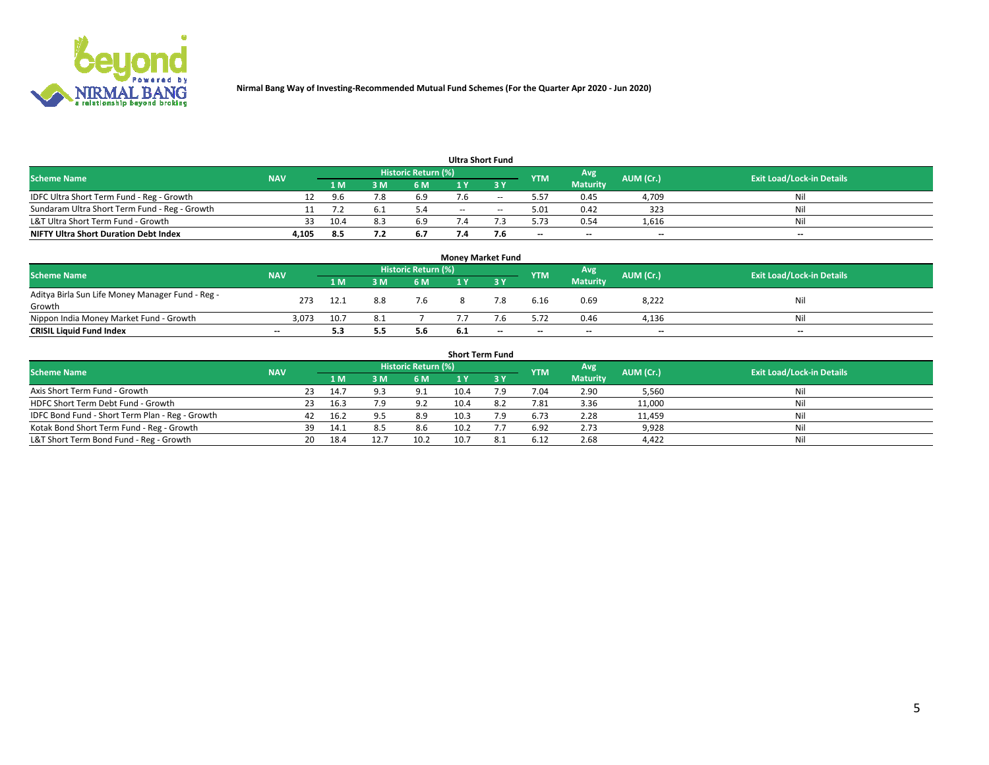

| <b>Ultra Short Fund</b>                       |            |      |     |                     |     |     |            |                          |           |                                  |  |  |  |  |
|-----------------------------------------------|------------|------|-----|---------------------|-----|-----|------------|--------------------------|-----------|----------------------------------|--|--|--|--|
| <b>Scheme Name</b>                            | <b>NAV</b> |      |     | Historic Return (%) |     |     | <b>YTM</b> | Avg                      | AUM (Cr.) | <b>Exit Load/Lock-in Details</b> |  |  |  |  |
|                                               |            | 1 M  | м   | 6 M                 |     | ע כ |            | <b>Maturity</b>          |           |                                  |  |  |  |  |
| IDFC Ultra Short Term Fund - Reg - Growth     |            |      |     | 6.9                 |     | --  | 5.57       | 0.45                     | 4,709     | Nil                              |  |  |  |  |
| Sundaram Ultra Short Term Fund - Reg - Growth |            |      |     | 5.4                 | $-$ | $-$ | 5.01       | 0.42                     | 323       | Nil                              |  |  |  |  |
| L&T Ultra Short Term Fund - Growth            | 33         | 10.4 | 8.3 | 6.9                 |     |     | 5.73       | 0.54                     | 1,616     | Nil                              |  |  |  |  |
| <b>NIFTY Ultra Short Duration Debt Index</b>  | 4,105      | 8.5  |     | 6.7                 |     | 7.6 | $-$        | $\overline{\phantom{a}}$ | $-$       | $-$                              |  |  |  |  |

| <b>Money Market Fund</b>                         |            |      |     |                            |     |                          |            |                          |           |                                  |  |  |  |  |
|--------------------------------------------------|------------|------|-----|----------------------------|-----|--------------------------|------------|--------------------------|-----------|----------------------------------|--|--|--|--|
| <b>Scheme Name</b>                               | <b>NAV</b> |      |     | <b>Historic Return (%)</b> |     |                          | <b>YTM</b> | Avg                      | AUM (Cr.) | <b>Exit Load/Lock-in Details</b> |  |  |  |  |
|                                                  |            | '1 M | 3 M | 6 M                        |     | 2 V                      |            | <b>Maturity</b>          |           |                                  |  |  |  |  |
| Aditya Birla Sun Life Money Manager Fund - Reg - | 273        | 12.1 | 8.8 | 7.6                        |     | 7.8                      | 6.16       | 0.69                     | 8,222     | Nil                              |  |  |  |  |
| Growth                                           |            |      |     |                            |     |                          |            |                          |           |                                  |  |  |  |  |
| Nippon India Money Market Fund - Growth          | 3.073      | 10.7 |     |                            |     |                          | 5.72       | 0.46                     | 4,136     | Nil                              |  |  |  |  |
| <b>CRISIL Liquid Fund Index</b>                  | $- -$      | 5.3  | 5.5 | 5.6                        | 6.1 | $\overline{\phantom{a}}$ | $-$        | $\overline{\phantom{a}}$ | $-$       | $-$                              |  |  |  |  |

| <b>Short Term Fund</b>                          |            |     |      |      |                            |      |     |            |                 |           |                                  |  |
|-------------------------------------------------|------------|-----|------|------|----------------------------|------|-----|------------|-----------------|-----------|----------------------------------|--|
| <b>Scheme Name</b>                              | <b>NAV</b> |     |      |      | <b>Historic Return (%)</b> |      |     | <b>YTM</b> | Avg             | AUM (Cr.) | <b>Exit Load/Lock-in Details</b> |  |
|                                                 |            |     |      | 3 M  | 6 M                        |      |     |            | <b>Maturity</b> |           |                                  |  |
| Axis Short Term Fund - Growth                   |            | 23  | 14.7 |      | 9.1                        | 10.4 | ۰.9 | 7.04       | 2.90            | 5,560     | Nil                              |  |
| HDFC Short Term Debt Fund - Growth              |            |     | 16.3 | 79.  | 9.2                        | 10.4 |     | 7.81       | 3.36            | 11,000    | Nil                              |  |
| IDFC Bond Fund - Short Term Plan - Reg - Growth |            | 42  | 16.2 |      | 8.9                        | 10.3 | 7.9 | 6.73       | 2.28            | 11,459    | Nil                              |  |
| Kotak Bond Short Term Fund - Reg - Growth       |            | 39  | 14.1 |      | 8.6                        | 10.2 |     | 6.92       | 2.73            | 9,928     | Nil                              |  |
| L&T Short Term Bond Fund - Reg - Growth         |            | 20. | 18.4 | 12.7 | 10.2                       | 10.7 | 8.1 | 6.12       | 2.68            | 4,422     | Nil                              |  |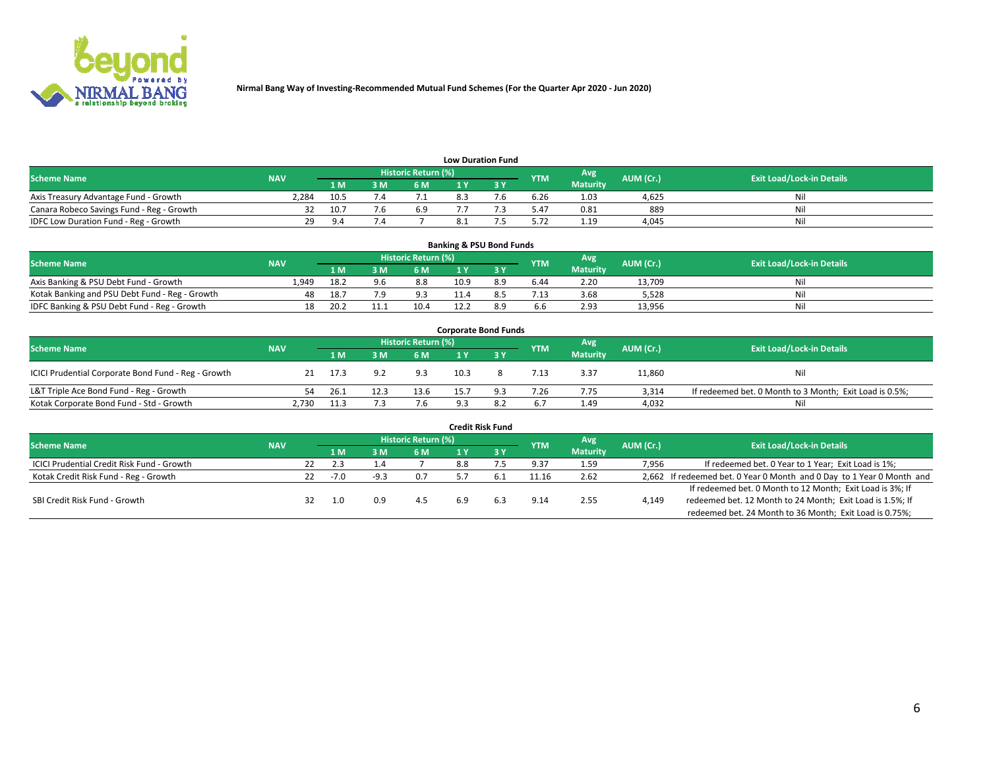

| <b>Low Duration Fund</b>                  |            |          |     |                            |  |     |            |                 |           |                                  |  |  |  |
|-------------------------------------------|------------|----------|-----|----------------------------|--|-----|------------|-----------------|-----------|----------------------------------|--|--|--|
| <b>Scheme Name</b>                        | <b>NAV</b> |          |     | <b>Historic Return (%)</b> |  |     | <b>YTM</b> | Avg             | AUM (Cr.) | <b>Exit Load/Lock-in Details</b> |  |  |  |
|                                           |            | 1 M .    | 3 M | 6 M                        |  | י פ |            | <b>Maturity</b> |           |                                  |  |  |  |
| Axis Treasury Advantage Fund - Growth     | 2.284      | 10.5     |     |                            |  |     | 6.26       | 1.03            | 4.625     | Nil                              |  |  |  |
| Canara Robeco Savings Fund - Reg - Growth |            | 10.7     |     | 6.9                        |  |     | 5.47       | 0.81            | 889       | Nil                              |  |  |  |
| IDFC Low Duration Fund - Reg - Growth     | 29         | $\Omega$ |     |                            |  |     | 5.72       | 1.19            | 4.045     | Nil                              |  |  |  |

| <b>Banking &amp; PSU Bond Funds</b>            |            |      |      |                     |      |     |            |                 |           |                                  |  |  |  |
|------------------------------------------------|------------|------|------|---------------------|------|-----|------------|-----------------|-----------|----------------------------------|--|--|--|
| <b>Scheme Name</b>                             | <b>NAV</b> |      |      | Historic Return (%) |      |     | <b>YTM</b> | Avg             | AUM (Cr.) | <b>Exit Load/Lock-in Details</b> |  |  |  |
|                                                |            | 1 M  | 3 M  | 6 M                 |      |     |            | <b>Maturity</b> |           |                                  |  |  |  |
| Axis Banking & PSU Debt Fund - Growth          | 1.949      | 18.2 | 9.6  | 8.8                 | 10.9 | 8.9 | 6.44       | 2.20            | 13.709    | Nil                              |  |  |  |
| Kotak Banking and PSU Debt Fund - Reg - Growth |            | 18.  | ה י  | 9.3                 |      |     | 1.13       | 3.68            | 5.528     | Nil                              |  |  |  |
| IDFC Banking & PSU Debt Fund - Reg - Growth    | 18         | 20.2 | 11.1 | 10.4                |      | 89  | 6.6        | 2.93            | 13,956    | Nil                              |  |  |  |

| <b>Corporate Bond Funds</b>                         |            |      |      |                     |      |     |            |                 |           |                                                         |  |  |  |  |
|-----------------------------------------------------|------------|------|------|---------------------|------|-----|------------|-----------------|-----------|---------------------------------------------------------|--|--|--|--|
| <b>Scheme Name</b>                                  | <b>NAV</b> |      |      | Historic Return (%) |      |     | <b>YTM</b> | Avg             | AUM (Cr.) | <b>Exit Load/Lock-in Details</b>                        |  |  |  |  |
|                                                     |            | 1 M  |      | <b>6M</b>           |      |     |            | <b>Maturity</b> |           |                                                         |  |  |  |  |
| ICICI Prudential Corporate Bond Fund - Reg - Growth |            | 17.3 |      | 9.3                 | 10.3 |     | 7.13       | 3.37            | 11,860    | Nil                                                     |  |  |  |  |
| L&T Triple Ace Bond Fund - Reg - Growth             | 54         | 26.1 | 12.3 | 13.6                | 15.7 | 9.3 | 7.26       | 7.75            | 3.314     | If redeemed bet. 0 Month to 3 Month; Exit Load is 0.5%; |  |  |  |  |
| Kotak Corporate Bond Fund - Std - Growth            | 2,730      | 11.3 |      | 7.6                 | Ω÷   |     | 6.7        | 1.49            | 4,032     | Nil                                                     |  |  |  |  |

| <b>Credit Risk Fund</b>                    |            |     |        |      |                            |     |            |            |                 |           |                                                                       |  |  |
|--------------------------------------------|------------|-----|--------|------|----------------------------|-----|------------|------------|-----------------|-----------|-----------------------------------------------------------------------|--|--|
| <b>Scheme Name</b>                         | <b>NAV</b> |     |        |      | <b>Historic Return (%)</b> |     |            | <b>YTM</b> | Avg             | AUM (Cr.) | <b>Exit Load/Lock-in Details</b>                                      |  |  |
|                                            |            |     | 1 M    | 3M   | 6 M                        |     | <b>3 Y</b> |            | <b>Maturity</b> |           |                                                                       |  |  |
| ICICI Prudential Credit Risk Fund - Growth |            | 22  | 2.3    | 1.4  |                            | 8.8 |            | 9.37       | 1.59            | 7,956     | If redeemed bet. 0 Year to 1 Year; Exit Load is 1%;                   |  |  |
| Kotak Credit Risk Fund - Reg - Growth      |            | 22. | $-7.0$ | -9.3 | 0.7                        |     |            | 11.16      | 2.62            |           | 2,662 If redeemed bet. 0 Year 0 Month and 0 Day to 1 Year 0 Month and |  |  |
|                                            |            |     |        |      |                            |     |            |            |                 |           | If redeemed bet. 0 Month to 12 Month; Exit Load is 3%; If             |  |  |
| SBI Credit Risk Fund - Growth              |            |     | 1.0    | 0.9  | 4.5                        |     | 6.3        | 9.14       | 2.55            | 4,149     | redeemed bet. 12 Month to 24 Month; Exit Load is 1.5%; If             |  |  |
|                                            |            |     |        |      |                            |     |            |            |                 |           | redeemed bet. 24 Month to 36 Month; Exit Load is 0.75%;               |  |  |